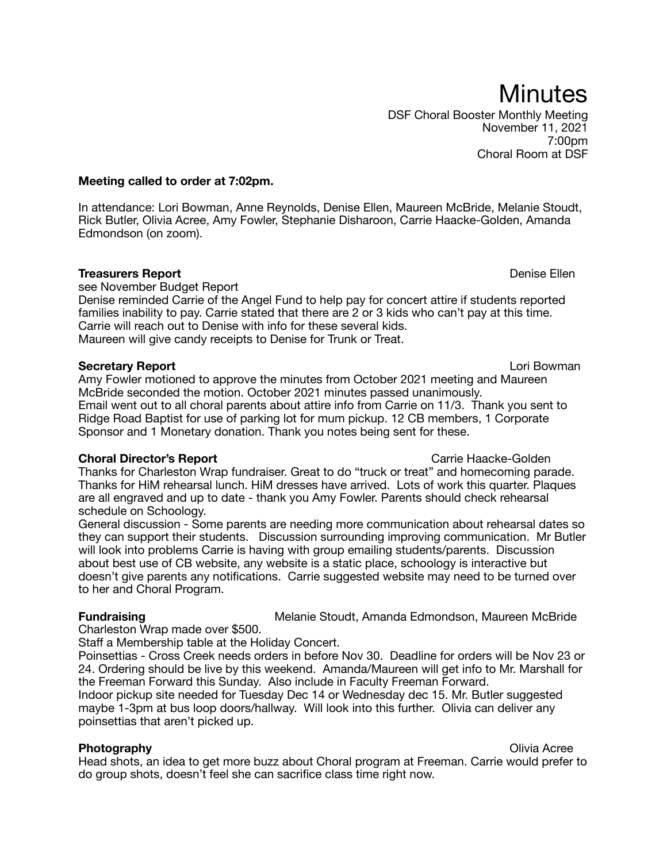DSF Choral Booster Monthly Meeting November 11, 2021 7:00pm Choral Room at DSF

## **Meeting called to order at 7:02pm.**

In attendance: Lori Bowman, Anne Reynolds, Denise Ellen, Maureen McBride, Melanie Stoudt, Rick Butler, Olivia Acree, Amy Fowler, Stephanie Disharoon, Carrie Haacke-Golden, Amanda Edmondson (on zoom).

# **Treasurers Report Denise Ellen**

see November Budget Report

Denise reminded Carrie of the Angel Fund to help pay for concert attire if students reported families inability to pay. Carrie stated that there are 2 or 3 kids who can't pay at this time. Carrie will reach out to Denise with info for these several kids. Maureen will give candy receipts to Denise for Trunk or Treat.

### **Secretary Report** Lori Bowman

Amy Fowler motioned to approve the minutes from October 2021 meeting and Maureen McBride seconded the motion. October 2021 minutes passed unanimously. Email went out to all choral parents about attire info from Carrie on 11/3. Thank you sent to Ridge Road Baptist for use of parking lot for mum pickup. 12 CB members, 1 Corporate Sponsor and 1 Monetary donation. Thank you notes being sent for these.

# **Choral Director's Report** Characke-Golden Carrie Haacke-Golden

Thanks for Charleston Wrap fundraiser. Great to do "truck or treat" and homecoming parade. Thanks for HiM rehearsal lunch. HiM dresses have arrived. Lots of work this quarter. Plaques are all engraved and up to date - thank you Amy Fowler. Parents should check rehearsal schedule on Schoology.

General discussion - Some parents are needing more communication about rehearsal dates so they can support their students. Discussion surrounding improving communication. Mr Butler will look into problems Carrie is having with group emailing students/parents. Discussion about best use of CB website, any website is a static place, schoology is interactive but doesn't give parents any notifications. Carrie suggested website may need to be turned over to her and Choral Program.

# **Fundraising** Melanie Stoudt, Amanda Edmondson, Maureen McBride

Charleston Wrap made over \$500.

Staff a Membership table at the Holiday Concert.

Poinsettias - Cross Creek needs orders in before Nov 30. Deadline for orders will be Nov 23 or 24. Ordering should be live by this weekend. Amanda/Maureen will get info to Mr. Marshall for the Freeman Forward this Sunday. Also include in Faculty Freeman Forward. Indoor pickup site needed for Tuesday Dec 14 or Wednesday dec 15. Mr. Butler suggested maybe 1-3pm at bus loop doors/hallway. Will look into this further. Olivia can deliver any poinsettias that aren't picked up.

**Photography Olivia Acree** Head shots, an idea to get more buzz about Choral program at Freeman. Carrie would prefer to do group shots, doesn't feel she can sacrifice class time right now.

# **Minutes**